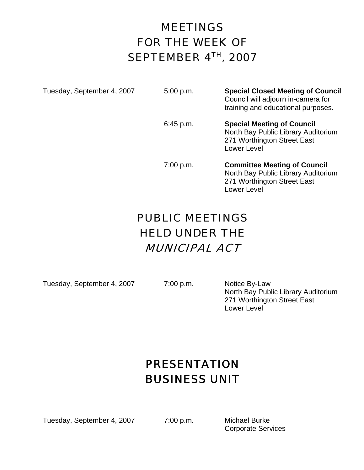# MEETINGS FOR THE WEEK OF SEPTEMBER 4TH, 2007

Tuesday, September 4, 2007 5:00 p.m. **Special Closed Meeting of Council** Council will adjourn in-camera for training and educational purposes.

> 6:45 p.m. **Special Meeting of Council** North Bay Public Library Auditorium 271 Worthington Street East Lower Level

> 7:00 p.m. **Committee Meeting of Council** North Bay Public Library Auditorium 271 Worthington Street East Lower Level

## PUBLIC MEETINGS HELD UNDER THE MUNICIPAL ACT

Tuesday, September 4, 2007 7:00 p.m. Notice By-Law

 North Bay Public Library Auditorium 271 Worthington Street East Lower Level

# PRESENTATION BUSINESS UNIT

Tuesday, September 4, 2007 7:00 p.m. Michael Burke

Corporate Services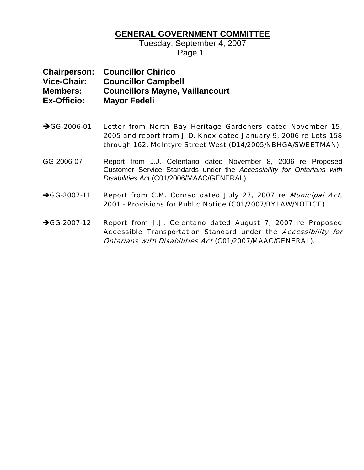#### **GENERAL GOVERNMENT COMMITTEE**

Tuesday, September 4, 2007 Page 1

|                    | <b>Chairperson: Councillor Chirico</b> |
|--------------------|----------------------------------------|
| <b>Vice-Chair:</b> | <b>Councillor Campbell</b>             |
| <b>Members:</b>    | <b>Councillors Mayne, Vaillancourt</b> |
| <b>Ex-Officio:</b> | <b>Mayor Fedeli</b>                    |

- →GG-2006-01 Letter from North Bay Heritage Gardeners dated November 15, 2005 and report from J.D. Knox dated January 9, 2006 re Lots 158 through 162, McIntyre Street West (D14/2005/NBHGA/SWEETMAN).
- GG-2006-07 Report from J.J. Celentano dated November 8, 2006 re Proposed Customer Service Standards under the *Accessibility for Ontarians with Disabilities Act* (C01/2006/MAAC/GENERAL).
- →GG-2007-11 Report from C.M. Conrad dated July 27, 2007 re Municipal Act, 2001 - Provisions for Public Notice (C01/2007/BYLAW/NOTICE).
- →GG-2007-12 Report from J.J. Celentano dated August 7, 2007 re Proposed Accessible Transportation Standard under the Accessibility for Ontarians with Disabilities Act (C01/2007/MAAC/GENERAL).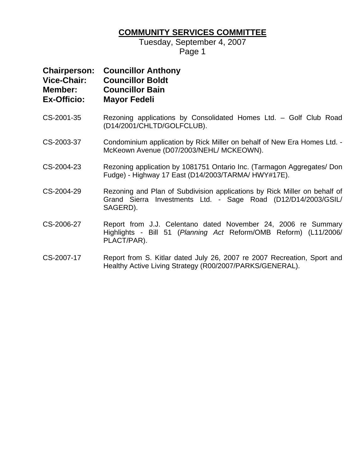### **COMMUNITY SERVICES COMMITTEE**

Tuesday, September 4, 2007 Page 1

| <b>Chairperson:</b><br><b>Vice-Chair:</b><br>Member:<br><b>Ex-Officio:</b> | <b>Councillor Anthony</b><br><b>Councillor Boldt</b><br><b>Councillor Bain</b><br><b>Mayor Fedeli</b>                                                  |
|----------------------------------------------------------------------------|--------------------------------------------------------------------------------------------------------------------------------------------------------|
| CS-2001-35                                                                 | Rezoning applications by Consolidated Homes Ltd. - Golf Club Road<br>(D14/2001/CHLTD/GOLFCLUB).                                                        |
| CS-2003-37                                                                 | Condominium application by Rick Miller on behalf of New Era Homes Ltd. -<br>McKeown Avenue (D07/2003/NEHL/ MCKEOWN).                                   |
| CS-2004-23                                                                 | Rezoning application by 1081751 Ontario Inc. (Tarmagon Aggregates/ Don<br>Fudge) - Highway 17 East (D14/2003/TARMA/ HWY#17E).                          |
| CS-2004-29                                                                 | Rezoning and Plan of Subdivision applications by Rick Miller on behalf of<br>Grand Sierra Investments Ltd. - Sage Road (D12/D14/2003/GSIL/<br>SAGERD). |
| CS-2006-27                                                                 | Report from J.J. Celentano dated November 24, 2006 re Summary<br>Highlights - Bill 51 (Planning Act Reform/OMB Reform) (L11/2006/<br>PLACT/PAR).       |
| CS-2007-17                                                                 | Report from S. Kitlar dated July 26, 2007 re 2007 Recreation, Sport and                                                                                |

CS-2007-17 Report from S. Kitlar dated July 26, 2007 re 2007 Recreation, Sport and Healthy Active Living Strategy (R00/2007/PARKS/GENERAL).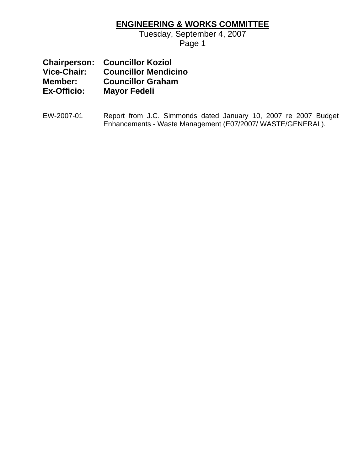#### **ENGINEERING & WORKS COMMITTEE**

Tuesday, September 4, 2007

Page 1

|                    | <b>Chairperson: Councillor Koziol</b> |
|--------------------|---------------------------------------|
| Vice-Chair:        | <b>Councillor Mendicino</b>           |
| Member:            | <b>Councillor Graham</b>              |
| <b>Ex-Officio:</b> | <b>Mayor Fedeli</b>                   |

EW-2007-01 Report from J.C. Simmonds dated January 10, 2007 re 2007 Budget Enhancements - Waste Management (E07/2007/ WASTE/GENERAL).